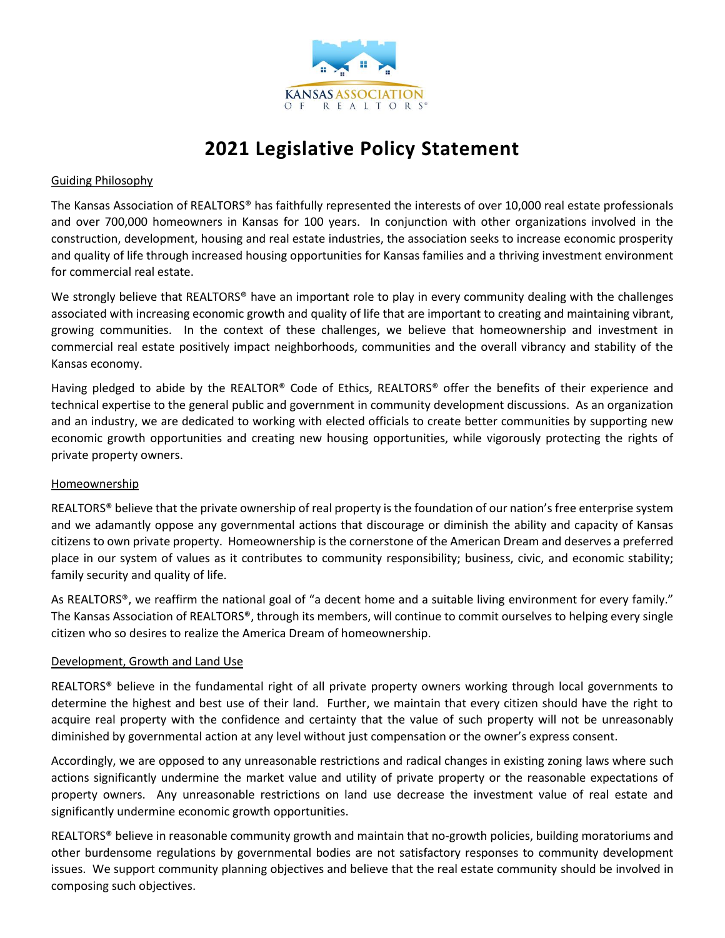

# **2021 Legislative Policy Statement**

## Guiding Philosophy

The Kansas Association of REALTORS® has faithfully represented the interests of over 10,000 real estate professionals and over 700,000 homeowners in Kansas for 100 years. In conjunction with other organizations involved in the construction, development, housing and real estate industries, the association seeks to increase economic prosperity and quality of life through increased housing opportunities for Kansas families and a thriving investment environment for commercial real estate.

We strongly believe that REALTORS® have an important role to play in every community dealing with the challenges associated with increasing economic growth and quality of life that are important to creating and maintaining vibrant, growing communities. In the context of these challenges, we believe that homeownership and investment in commercial real estate positively impact neighborhoods, communities and the overall vibrancy and stability of the Kansas economy.

Having pledged to abide by the REALTOR® Code of Ethics, REALTORS® offer the benefits of their experience and technical expertise to the general public and government in community development discussions. As an organization and an industry, we are dedicated to working with elected officials to create better communities by supporting new economic growth opportunities and creating new housing opportunities, while vigorously protecting the rights of private property owners.

## Homeownership

REALTORS® believe that the private ownership of real property is the foundation of our nation's free enterprise system and we adamantly oppose any governmental actions that discourage or diminish the ability and capacity of Kansas citizens to own private property. Homeownership is the cornerstone of the American Dream and deserves a preferred place in our system of values as it contributes to community responsibility; business, civic, and economic stability; family security and quality of life.

As REALTORS®, we reaffirm the national goal of "a decent home and a suitable living environment for every family." The Kansas Association of REALTORS®, through its members, will continue to commit ourselves to helping every single citizen who so desires to realize the America Dream of homeownership.

## Development, Growth and Land Use

REALTORS® believe in the fundamental right of all private property owners working through local governments to determine the highest and best use of their land. Further, we maintain that every citizen should have the right to acquire real property with the confidence and certainty that the value of such property will not be unreasonably diminished by governmental action at any level without just compensation or the owner's express consent.

Accordingly, we are opposed to any unreasonable restrictions and radical changes in existing zoning laws where such actions significantly undermine the market value and utility of private property or the reasonable expectations of property owners. Any unreasonable restrictions on land use decrease the investment value of real estate and significantly undermine economic growth opportunities.

REALTORS® believe in reasonable community growth and maintain that no-growth policies, building moratoriums and other burdensome regulations by governmental bodies are not satisfactory responses to community development issues. We support community planning objectives and believe that the real estate community should be involved in composing such objectives.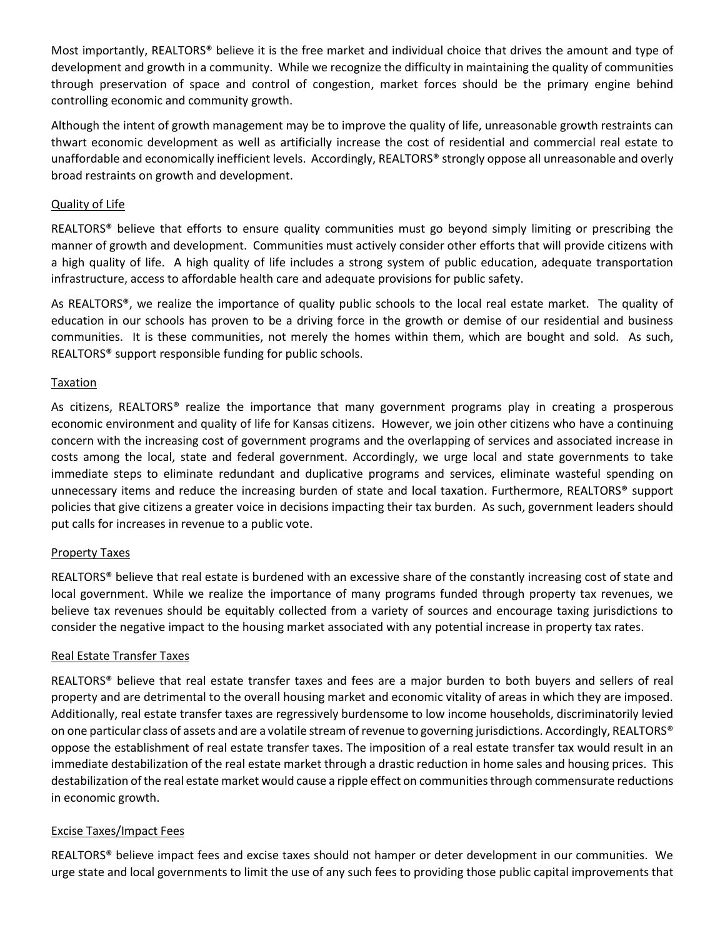Most importantly, REALTORS® believe it is the free market and individual choice that drives the amount and type of development and growth in a community. While we recognize the difficulty in maintaining the quality of communities through preservation of space and control of congestion, market forces should be the primary engine behind controlling economic and community growth.

Although the intent of growth management may be to improve the quality of life, unreasonable growth restraints can thwart economic development as well as artificially increase the cost of residential and commercial real estate to unaffordable and economically inefficient levels. Accordingly, REALTORS® strongly oppose all unreasonable and overly broad restraints on growth and development.

# Quality of Life

REALTORS® believe that efforts to ensure quality communities must go beyond simply limiting or prescribing the manner of growth and development. Communities must actively consider other efforts that will provide citizens with a high quality of life. A high quality of life includes a strong system of public education, adequate transportation infrastructure, access to affordable health care and adequate provisions for public safety.

As REALTORS®, we realize the importance of quality public schools to the local real estate market. The quality of education in our schools has proven to be a driving force in the growth or demise of our residential and business communities. It is these communities, not merely the homes within them, which are bought and sold. As such, REALTORS® support responsible funding for public schools.

## Taxation

As citizens, REALTORS® realize the importance that many government programs play in creating a prosperous economic environment and quality of life for Kansas citizens. However, we join other citizens who have a continuing concern with the increasing cost of government programs and the overlapping of services and associated increase in costs among the local, state and federal government. Accordingly, we urge local and state governments to take immediate steps to eliminate redundant and duplicative programs and services, eliminate wasteful spending on unnecessary items and reduce the increasing burden of state and local taxation. Furthermore, REALTORS® support policies that give citizens a greater voice in decisions impacting their tax burden. As such, government leaders should put calls for increases in revenue to a public vote.

## Property Taxes

REALTORS<sup>®</sup> believe that real estate is burdened with an excessive share of the constantly increasing cost of state and local government. While we realize the importance of many programs funded through property tax revenues, we believe tax revenues should be equitably collected from a variety of sources and encourage taxing jurisdictions to consider the negative impact to the housing market associated with any potential increase in property tax rates.

## Real Estate Transfer Taxes

REALTORS® believe that real estate transfer taxes and fees are a major burden to both buyers and sellers of real property and are detrimental to the overall housing market and economic vitality of areas in which they are imposed. Additionally, real estate transfer taxes are regressively burdensome to low income households, discriminatorily levied on one particular class of assets and are a volatile stream of revenue to governing jurisdictions. Accordingly, REALTORS® oppose the establishment of real estate transfer taxes. The imposition of a real estate transfer tax would result in an immediate destabilization of the real estate market through a drastic reduction in home sales and housing prices. This destabilization of the real estate market would cause a ripple effect on communities through commensurate reductions in economic growth.

## Excise Taxes/Impact Fees

REALTORS® believe impact fees and excise taxes should not hamper or deter development in our communities. We urge state and local governments to limit the use of any such fees to providing those public capital improvements that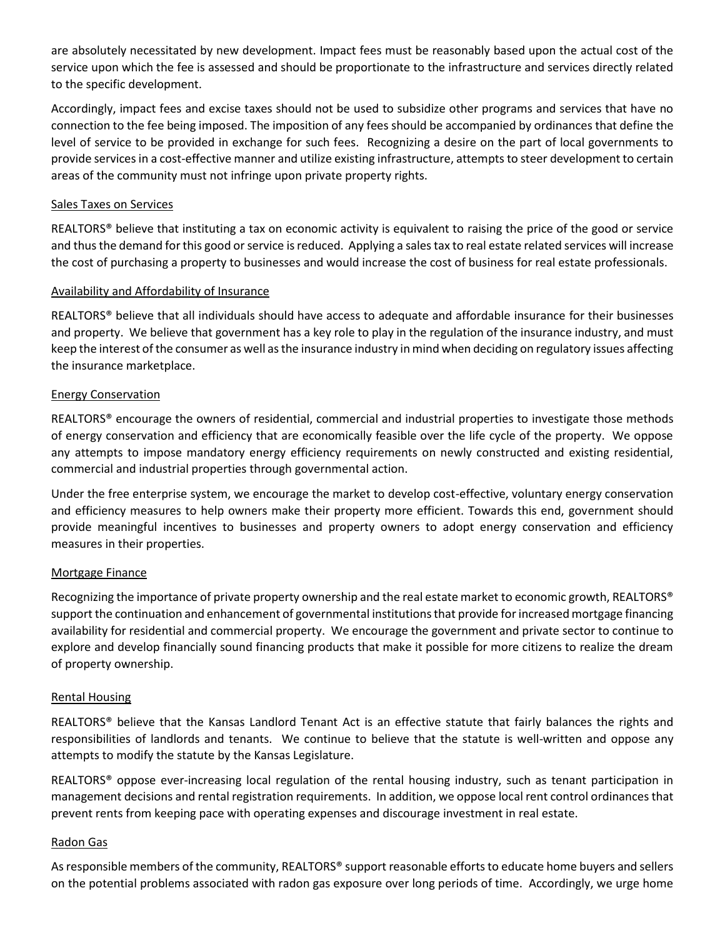are absolutely necessitated by new development. Impact fees must be reasonably based upon the actual cost of the service upon which the fee is assessed and should be proportionate to the infrastructure and services directly related to the specific development.

Accordingly, impact fees and excise taxes should not be used to subsidize other programs and services that have no connection to the fee being imposed. The imposition of any fees should be accompanied by ordinances that define the level of service to be provided in exchange for such fees. Recognizing a desire on the part of local governments to provide services in a cost-effective manner and utilize existing infrastructure, attempts to steer development to certain areas of the community must not infringe upon private property rights.

## Sales Taxes on Services

REALTORS<sup>®</sup> believe that instituting a tax on economic activity is equivalent to raising the price of the good or service and thus the demand for this good or service is reduced. Applying a sales tax to real estate related services will increase the cost of purchasing a property to businesses and would increase the cost of business for real estate professionals.

# Availability and Affordability of Insurance

REALTORS® believe that all individuals should have access to adequate and affordable insurance for their businesses and property. We believe that government has a key role to play in the regulation of the insurance industry, and must keep the interest of the consumer as well as the insurance industry in mind when deciding on regulatory issues affecting the insurance marketplace.

# Energy Conservation

REALTORS® encourage the owners of residential, commercial and industrial properties to investigate those methods of energy conservation and efficiency that are economically feasible over the life cycle of the property. We oppose any attempts to impose mandatory energy efficiency requirements on newly constructed and existing residential, commercial and industrial properties through governmental action.

Under the free enterprise system, we encourage the market to develop cost-effective, voluntary energy conservation and efficiency measures to help owners make their property more efficient. Towards this end, government should provide meaningful incentives to businesses and property owners to adopt energy conservation and efficiency measures in their properties.

# Mortgage Finance

Recognizing the importance of private property ownership and the real estate market to economic growth, REALTORS® support the continuation and enhancement of governmental institutions that provide for increased mortgage financing availability for residential and commercial property. We encourage the government and private sector to continue to explore and develop financially sound financing products that make it possible for more citizens to realize the dream of property ownership.

## Rental Housing

REALTORS® believe that the Kansas Landlord Tenant Act is an effective statute that fairly balances the rights and responsibilities of landlords and tenants. We continue to believe that the statute is well-written and oppose any attempts to modify the statute by the Kansas Legislature.

REALTORS® oppose ever-increasing local regulation of the rental housing industry, such as tenant participation in management decisions and rental registration requirements. In addition, we oppose local rent control ordinances that prevent rents from keeping pace with operating expenses and discourage investment in real estate.

## Radon Gas

As responsible members of the community, REALTORS® support reasonable efforts to educate home buyers and sellers on the potential problems associated with radon gas exposure over long periods of time. Accordingly, we urge home